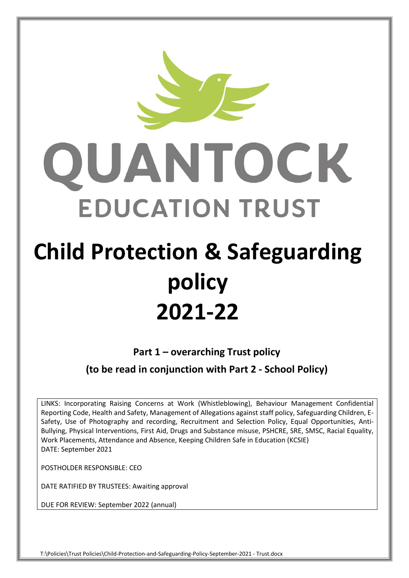

# **Child Protection & Safeguarding policy 2021-22**

**Part 1 – overarching Trust policy** 

**(to be read in conjunction with Part 2 - School Policy)**

LINKS: Incorporating Raising Concerns at Work (Whistleblowing), Behaviour Management Confidential Reporting Code, Health and Safety, Management of Allegations against staff policy, Safeguarding Children, E-Safety, Use of Photography and recording, Recruitment and Selection Policy, Equal Opportunities, Anti-Bullying, Physical Interventions, First Aid, Drugs and Substance misuse, PSHCRE, SRE, SMSC, Racial Equality, Work Placements, Attendance and Absence, Keeping Children Safe in Education (KCSIE) DATE: September 2021

POSTHOLDER RESPONSIBLE: CEO

DATE RATIFIED BY TRUSTEES: Awaiting approval

DUE FOR REVIEW: September 2022 (annual)

T:\Policies\Trust Policies\Child-Protection-and-Safeguarding-Policy-September-2021 - Trust.docx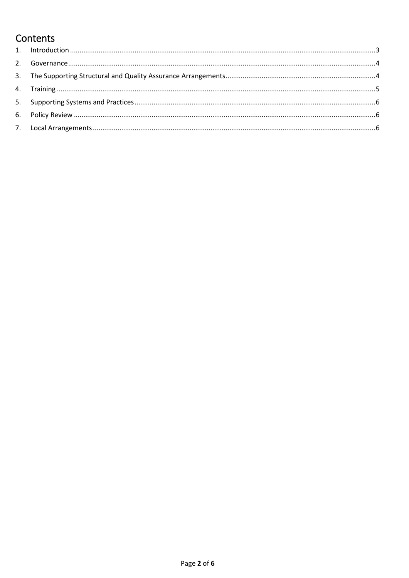# Contents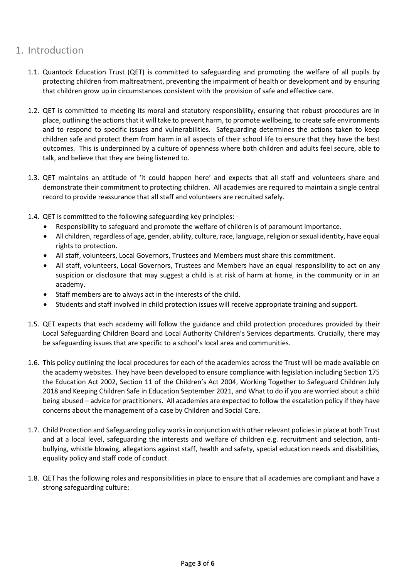# <span id="page-2-0"></span>1. Introduction

- 1.1. Quantock Education Trust (QET) is committed to safeguarding and promoting the welfare of all pupils by protecting children from maltreatment, preventing the impairment of health or development and by ensuring that children grow up in circumstances consistent with the provision of safe and effective care.
- 1.2. QET is committed to meeting its moral and statutory responsibility, ensuring that robust procedures are in place, outlining the actions that it will take to prevent harm, to promote wellbeing, to create safe environments and to respond to specific issues and vulnerabilities. Safeguarding determines the actions taken to keep children safe and protect them from harm in all aspects of their school life to ensure that they have the best outcomes. This is underpinned by a culture of openness where both children and adults feel secure, able to talk, and believe that they are being listened to.
- 1.3. QET maintains an attitude of 'it could happen here' and expects that all staff and volunteers share and demonstrate their commitment to protecting children. All academies are required to maintain a single central record to provide reassurance that all staff and volunteers are recruited safely.
- 1.4. QET is committed to the following safeguarding key principles:
	- Responsibility to safeguard and promote the welfare of children is of paramount importance.
	- All children, regardless of age, gender, ability, culture, race, language, religion or sexual identity, have equal rights to protection.
	- All staff, volunteers, Local Governors, Trustees and Members must share this commitment.
	- All staff, volunteers, Local Governors, Trustees and Members have an equal responsibility to act on any suspicion or disclosure that may suggest a child is at risk of harm at home, in the community or in an academy.
	- Staff members are to always act in the interests of the child.
	- Students and staff involved in child protection issues will receive appropriate training and support.
- 1.5. QET expects that each academy will follow the guidance and child protection procedures provided by their Local Safeguarding Children Board and Local Authority Children's Services departments. Crucially, there may be safeguarding issues that are specific to a school's local area and communities.
- 1.6. This policy outlining the local procedures for each of the academies across the Trust will be made available on the academy websites. They have been developed to ensure compliance with legislation including Section 175 the Education Act 2002, Section 11 of the Children's Act 2004, Working Together to Safeguard Children July 2018 and Keeping Children Safe in Education September 2021, and What to do if you are worried about a child being abused – advice for practitioners. All academies are expected to follow the escalation policy if they have concerns about the management of a case by Children and Social Care.
- 1.7. Child Protection and Safeguarding policy works in conjunction with other relevant policies in place at both Trust and at a local level, safeguarding the interests and welfare of children e.g. recruitment and selection, antibullying, whistle blowing, allegations against staff, health and safety, special education needs and disabilities, equality policy and staff code of conduct.
- 1.8. QET has the following roles and responsibilities in place to ensure that all academies are compliant and have a strong safeguarding culture: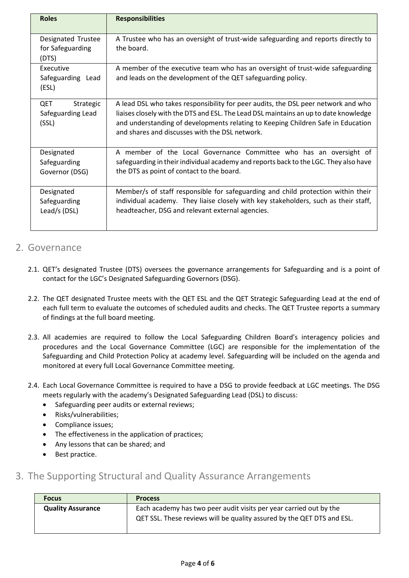| <b>Roles</b>                                    | <b>Responsibilities</b>                                                                                                                        |
|-------------------------------------------------|------------------------------------------------------------------------------------------------------------------------------------------------|
| Designated Trustee<br>for Safeguarding<br>(DTS) | A Trustee who has an oversight of trust-wide safeguarding and reports directly to<br>the board.                                                |
| Executive<br>Safeguarding Lead<br>(ESL)         | A member of the executive team who has an oversight of trust-wide safeguarding<br>and leads on the development of the QET safeguarding policy. |
| QET                                             | A lead DSL who takes responsibility for peer audits, the DSL peer network and who                                                              |
| Strategic                                       | liaises closely with the DTS and ESL. The Lead DSL maintains an up to date knowledge                                                           |
| Safeguarding Lead                               | and understanding of developments relating to Keeping Children Safe in Education                                                               |
| (SSL)                                           | and shares and discusses with the DSL network.                                                                                                 |
| Designated                                      | A member of the Local Governance Committee who has an oversight of                                                                             |
| Safeguarding                                    | safeguarding in their individual academy and reports back to the LGC. They also have                                                           |
| Governor (DSG)                                  | the DTS as point of contact to the board.                                                                                                      |
| Designated                                      | Member/s of staff responsible for safeguarding and child protection within their                                                               |
| Safeguarding                                    | individual academy. They liaise closely with key stakeholders, such as their staff,                                                            |
| Lead/s (DSL)                                    | headteacher, DSG and relevant external agencies.                                                                                               |

#### <span id="page-3-0"></span>2. Governance

- 2.1. QET's designated Trustee (DTS) oversees the governance arrangements for Safeguarding and is a point of contact for the LGC's Designated Safeguarding Governors (DSG).
- 2.2. The QET designated Trustee meets with the QET ESL and the QET Strategic Safeguarding Lead at the end of each full term to evaluate the outcomes of scheduled audits and checks. The QET Trustee reports a summary of findings at the full board meeting.
- 2.3. All academies are required to follow the Local Safeguarding Children Board's interagency policies and procedures and the Local Governance Committee (LGC) are responsible for the implementation of the Safeguarding and Child Protection Policy at academy level. Safeguarding will be included on the agenda and monitored at every full Local Governance Committee meeting.
- 2.4. Each Local Governance Committee is required to have a DSG to provide feedback at LGC meetings. The DSG meets regularly with the academy's Designated Safeguarding Lead (DSL) to discuss:
	- Safeguarding peer audits or external reviews;
	- Risks/vulnerabilities;
	- Compliance issues;
	- The effectiveness in the application of practices;
	- Any lessons that can be shared; and
	- Best practice.
- <span id="page-3-1"></span>3. The Supporting Structural and Quality Assurance Arrangements

| <b>Focus</b>             | <b>Process</b>                                                         |
|--------------------------|------------------------------------------------------------------------|
| <b>Quality Assurance</b> | Each academy has two peer audit visits per year carried out by the     |
|                          | QET SSL. These reviews will be quality assured by the QET DTS and ESL. |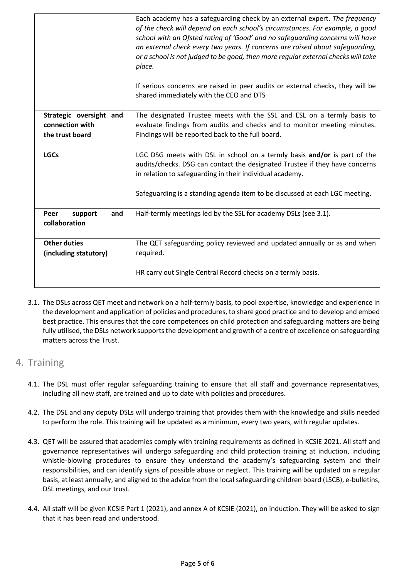|                         | Each academy has a safeguarding check by an external expert. The frequency<br>of the check will depend on each school's circumstances. For example, a good<br>school with an Ofsted rating of 'Good' and no safeguarding concerns will have<br>an external check every two years. If concerns are raised about safeguarding,<br>or a school is not judged to be good, then more regular external checks will take<br>place.<br>If serious concerns are raised in peer audits or external checks, they will be<br>shared immediately with the CEO and DTS |
|-------------------------|----------------------------------------------------------------------------------------------------------------------------------------------------------------------------------------------------------------------------------------------------------------------------------------------------------------------------------------------------------------------------------------------------------------------------------------------------------------------------------------------------------------------------------------------------------|
| Strategic oversight and | The designated Trustee meets with the SSL and ESL on a termly basis to                                                                                                                                                                                                                                                                                                                                                                                                                                                                                   |
| connection with         | evaluate findings from audits and checks and to monitor meeting minutes.                                                                                                                                                                                                                                                                                                                                                                                                                                                                                 |
| the trust board         | Findings will be reported back to the full board.                                                                                                                                                                                                                                                                                                                                                                                                                                                                                                        |
|                         |                                                                                                                                                                                                                                                                                                                                                                                                                                                                                                                                                          |
| <b>LGCs</b>             | LGC DSG meets with DSL in school on a termly basis and/or is part of the                                                                                                                                                                                                                                                                                                                                                                                                                                                                                 |
|                         | audits/checks. DSG can contact the designated Trustee if they have concerns                                                                                                                                                                                                                                                                                                                                                                                                                                                                              |
|                         | in relation to safeguarding in their individual academy.                                                                                                                                                                                                                                                                                                                                                                                                                                                                                                 |
|                         |                                                                                                                                                                                                                                                                                                                                                                                                                                                                                                                                                          |
|                         | Safeguarding is a standing agenda item to be discussed at each LGC meeting.                                                                                                                                                                                                                                                                                                                                                                                                                                                                              |
| support<br>Peer<br>and  | Half-termly meetings led by the SSL for academy DSLs (see 3.1).                                                                                                                                                                                                                                                                                                                                                                                                                                                                                          |
| collaboration           |                                                                                                                                                                                                                                                                                                                                                                                                                                                                                                                                                          |
|                         |                                                                                                                                                                                                                                                                                                                                                                                                                                                                                                                                                          |
| <b>Other duties</b>     | The QET safeguarding policy reviewed and updated annually or as and when                                                                                                                                                                                                                                                                                                                                                                                                                                                                                 |
| (including statutory)   | required.                                                                                                                                                                                                                                                                                                                                                                                                                                                                                                                                                |
|                         |                                                                                                                                                                                                                                                                                                                                                                                                                                                                                                                                                          |
|                         | HR carry out Single Central Record checks on a termly basis.                                                                                                                                                                                                                                                                                                                                                                                                                                                                                             |
|                         |                                                                                                                                                                                                                                                                                                                                                                                                                                                                                                                                                          |

3.1. The DSLs across QET meet and network on a half-termly basis, to pool expertise, knowledge and experience in the development and application of policies and procedures, to share good practice and to develop and embed best practice. This ensures that the core competences on child protection and safeguarding matters are being fully utilised, the DSLs network supports the development and growth of a centre of excellence on safeguarding matters across the Trust.

## <span id="page-4-0"></span>4. Training

- 4.1. The DSL must offer regular safeguarding training to ensure that all staff and governance representatives, including all new staff, are trained and up to date with policies and procedures.
- 4.2. The DSL and any deputy DSLs will undergo training that provides them with the knowledge and skills needed to perform the role. This training will be updated as a minimum, every two years, with regular updates.
- 4.3. QET will be assured that academies comply with training requirements as defined in KCSIE 2021. All staff and governance representatives will undergo safeguarding and child protection training at induction, including whistle-blowing procedures to ensure they understand the academy's safeguarding system and their responsibilities, and can identify signs of possible abuse or neglect. This training will be updated on a regular basis, at least annually, and aligned to the advice from the local safeguarding children board (LSCB), e-bulletins, DSL meetings, and our trust.
- 4.4. All staff will be given KCSIE Part 1 (2021), and annex A of KCSIE (2021), on induction. They will be asked to sign that it has been read and understood.